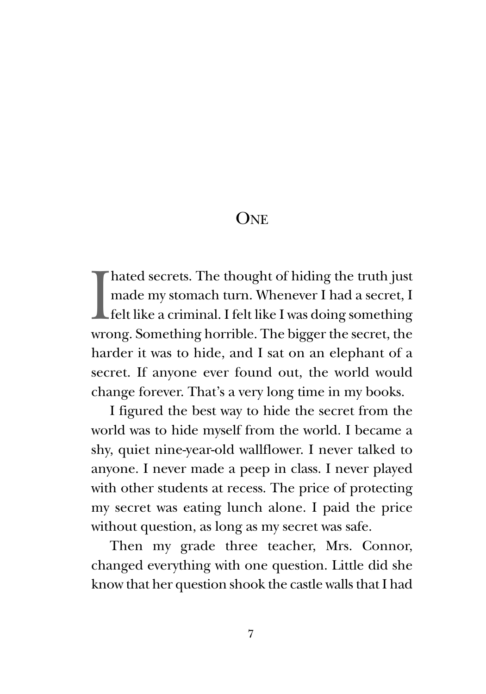**ONE** 

 $\prod_{w \in C}$ hated secrets. The thought of hiding the truth just made my stomach turn. Whenever I had a secret, I felt like a criminal. I felt like I was doing something wrong. Something horrible. The bigger the secret, the harder it was to hide, and I sat on an elephant of a secret. If anyone ever found out, the world would change forever. That's a very long time in my books.

I figured the best way to hide the secret from the world was to hide myself from the world. I became a shy, quiet nine-year-old wallflower. I never talked to anyone. I never made a peep in class. I never played with other students at recess. The price of protecting my secret was eating lunch alone. I paid the price without question, as long as my secret was safe.

Then my grade three teacher, Mrs. Connor, changed everything with one question. Little did she know that her question shook the castle walls that I had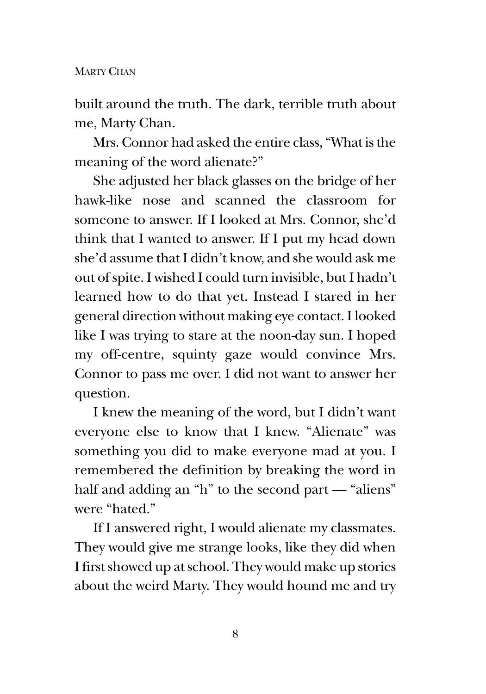built around the truth. The dark, terrible truth about me, Marty Chan.

Mrs. Connor had asked the entire class, "What is the meaning of the word alienate?"

She adjusted her black glasses on the bridge of her hawk-like nose and scanned the classroom for someone to answer. If I looked at Mrs. Connor, she'd think that I wanted to answer. If I put my head down she'd assume that I didn't know, and she would ask me out of spite. I wished I could turn invisible, but I hadn't learned how to do that yet. Instead I stared in her general direction without making eye contact. I looked like I was trying to stare at the noon-day sun. I hoped my off-centre, squinty gaze would convince Mrs. Connor to pass me over. I did not want to answer her question.

I knew the meaning of the word, but I didn't want everyone else to know that I knew. "Alienate" was something you did to make everyone mad at you. I remembered the definition by breaking the word in half and adding an "h" to the second part — "aliens" were "hated."

If I answered right, I would alienate my classmates. They would give me strange looks, like they did when I first showed up at school. They would make up stories about the weird Marty. They would hound me and try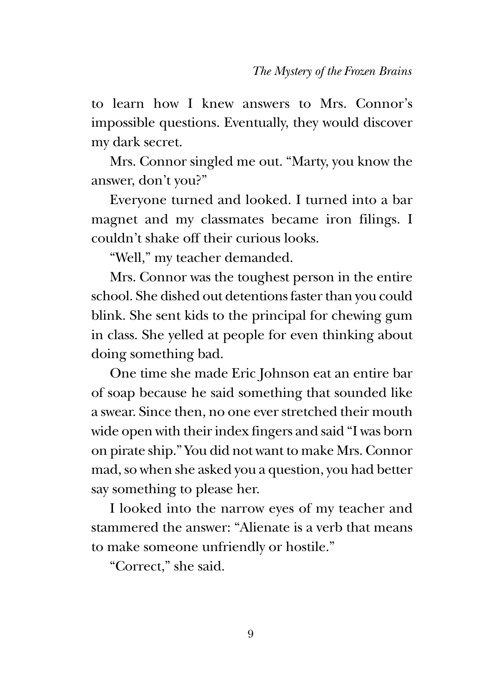to learn how I knew answers to Mrs. Connor's impossible questions. Eventually, they would discover my dark secret.

Mrs. Connor singled me out. "Marty, you know the answer, don't you?"

Everyone turned and looked. I turned into a bar magnet and my classmates became iron filings. I couldn't shake off their curious looks.

"Well," my teacher demanded.

Mrs. Connor was the toughest person in the entire school. She dished out detentions faster than you could blink. She sent kids to the principal for chewing gum in class. She yelled at people for even thinking about doing something bad.

One time she made Eric Johnson eat an entire bar of soap because he said something that sounded like a swear. Since then, no one ever stretched their mouth wide open with their index fingers and said "I was born on pirate ship." You did not want to make Mrs. Connor mad, so when she asked you a question, you had better say something to please her.

I looked into the narrow eyes of my teacher and stammered the answer: "Alienate is a verb that means to make someone unfriendly or hostile."

"Correct," she said.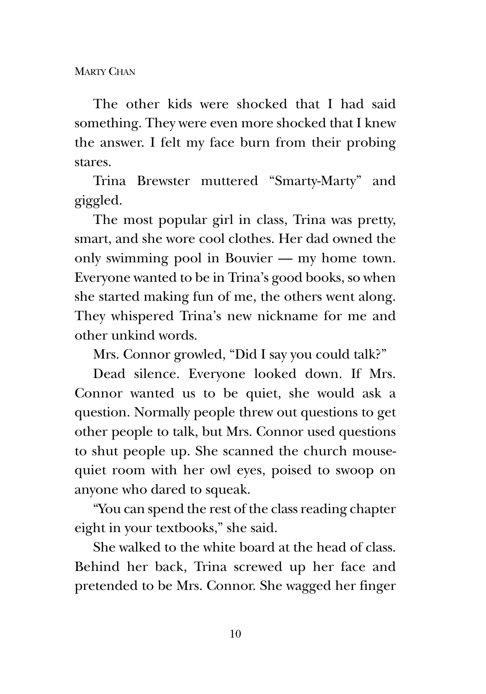MARTY CHAN

The other kids were shocked that I had said something. They were even more shocked that I knew the answer. I felt my face burn from their probing stares.

Trina Brewster muttered "Smarty-Marty" and giggled.

The most popular girl in class, Trina was pretty, smart, and she wore cool clothes. Her dad owned the only swimming pool in Bouvier — my home town. Everyone wanted to be in Trina's good books, so when she started making fun of me, the others went along. They whispered Trina's new nickname for me and other unkind words.

Mrs. Connor growled, "Did I say you could talk?"

Dead silence. Everyone looked down. If Mrs. Connor wanted us to be quiet, she would ask a question. Normally people threw out questions to get other people to talk, but Mrs. Connor used questions to shut people up. She scanned the church mousequiet room with her owl eyes, poised to swoop on anyone who dared to squeak.

"You can spend the rest of the class reading chapter eight in your textbooks," she said.

She walked to the white board at the head of class. Behind her back, Trina screwed up her face and pretended to be Mrs. Connor. She wagged her finger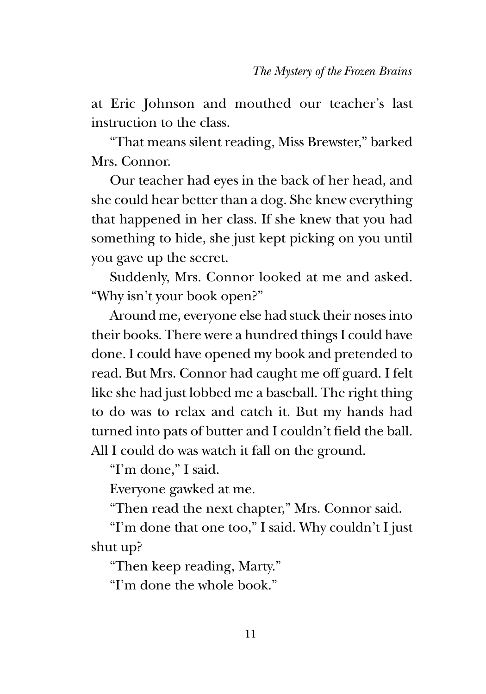at Eric Johnson and mouthed our teacher's last instruction to the class.

"That means silent reading, Miss Brewster," barked Mrs. Connor.

Our teacher had eyes in the back of her head, and she could hear better than a dog. She knew everything that happened in her class. If she knew that you had something to hide, she just kept picking on you until you gave up the secret.

Suddenly, Mrs. Connor looked at me and asked. "Why isn't your book open?"

Around me, everyone else had stuck their noses into their books. There were a hundred things I could have done. I could have opened my book and pretended to read. But Mrs. Connor had caught me off guard. I felt like she had just lobbed me a baseball. The right thing to do was to relax and catch it. But my hands had turned into pats of butter and I couldn't field the ball. All I could do was watch it fall on the ground.

"I'm done," I said.

Everyone gawked at me.

"Then read the next chapter," Mrs. Connor said.

"I'm done that one too," I said. Why couldn't I just shut up?

"Then keep reading, Marty."

"I'm done the whole book."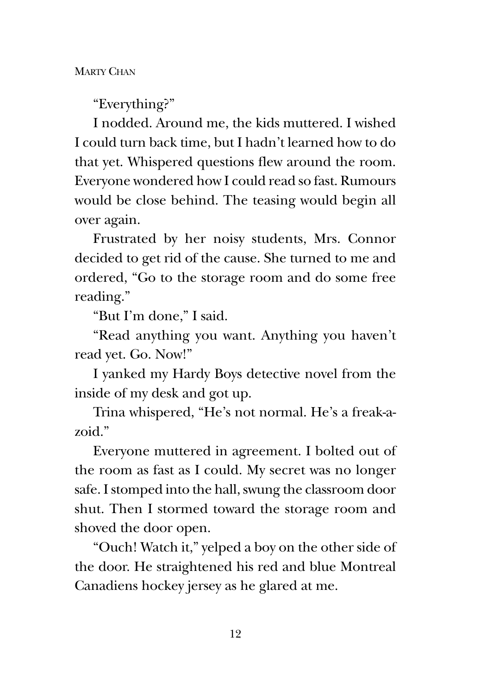MARTY CHAN

"Everything?"

I nodded. Around me, the kids muttered. I wished I could turn back time, but I hadn't learned how to do that yet. Whispered questions flew around the room. Everyone wondered how I could read so fast. Rumours would be close behind. The teasing would begin all over again.

Frustrated by her noisy students, Mrs. Connor decided to get rid of the cause. She turned to me and ordered, "Go to the storage room and do some free reading."

"But I'm done," I said.

"Read anything you want. Anything you haven't read yet. Go. Now!"

I yanked my Hardy Boys detective novel from the inside of my desk and got up.

Trina whispered, "He's not normal. He's a freak-azoid."

Everyone muttered in agreement. I bolted out of the room as fast as I could. My secret was no longer safe. I stomped into the hall, swung the classroom door shut. Then I stormed toward the storage room and shoved the door open.

"Ouch! Watch it," yelped a boy on the other side of the door. He straightened his red and blue Montreal Canadiens hockey jersey as he glared at me.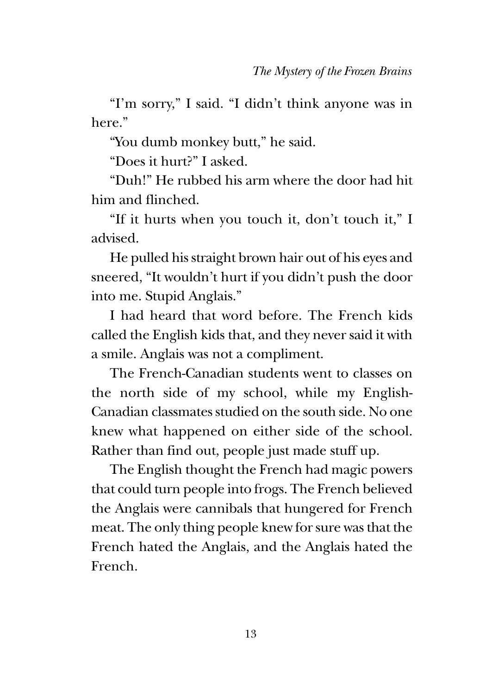"I'm sorry," I said. "I didn't think anyone was in here."

"You dumb monkey butt," he said.

"Does it hurt?" I asked.

"Duh!" He rubbed his arm where the door had hit him and flinched.

"If it hurts when you touch it, don't touch it," I advised.

He pulled his straight brown hair out of his eyes and sneered, "It wouldn't hurt if you didn't push the door into me. Stupid Anglais."

I had heard that word before. The French kids called the English kids that, and they never said it with a smile. Anglais was not a compliment.

The French-Canadian students went to classes on the north side of my school, while my English-Canadian classmates studied on the south side. No one knew what happened on either side of the school. Rather than find out, people just made stuff up.

The English thought the French had magic powers that could turn people into frogs. The French believed the Anglais were cannibals that hungered for French meat. The only thing people knew for sure was that the French hated the Anglais, and the Anglais hated the French.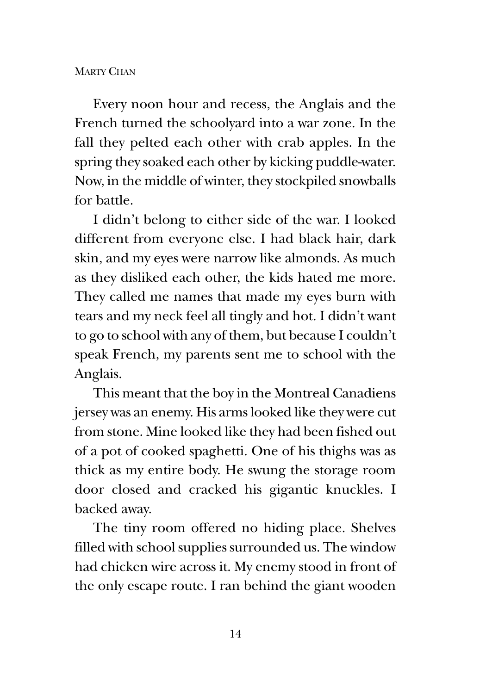## **MARTY CHAN**

Every noon hour and recess, the Anglais and the French turned the schoolyard into a war zone. In the fall they pelted each other with crab apples. In the spring they soaked each other by kicking puddle-water. Now, in the middle of winter, they stockpiled snowballs for battle.

I didn't belong to either side of the war. I looked different from everyone else. I had black hair, dark skin, and my eyes were narrow like almonds. As much as they disliked each other, the kids hated me more. They called me names that made my eyes burn with tears and my neck feel all tingly and hot. I didn't want to go to school with any of them, but because I couldn't speak French, my parents sent me to school with the Anglais.

This meant that the boy in the Montreal Canadiens jersey was an enemy. His arms looked like they were cut from stone. Mine looked like they had been fished out of a pot of cooked spaghetti. One of his thighs was as thick as my entire body. He swung the storage room door closed and cracked his gigantic knuckles. I backed away.

The tiny room offered no hiding place. Shelves filled with school supplies surrounded us. The window had chicken wire across it. My enemy stood in front of the only escape route. I ran behind the giant wooden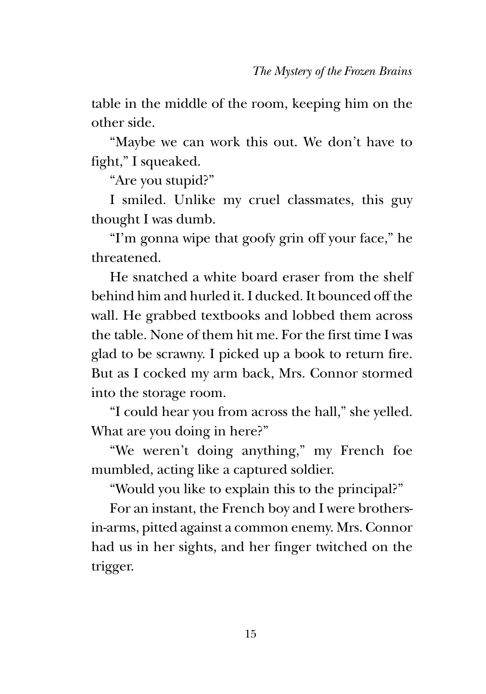table in the middle of the room, keeping him on the other side.

"Maybe we can work this out. We don't have to fight," I squeaked.

"Are you stupid?"

I smiled. Unlike my cruel classmates, this guy thought I was dumb.

"I'm gonna wipe that goofy grin off your face," he threatened.

He snatched a white board eraser from the shelf behind him and hurled it. I ducked. It bounced off the wall. He grabbed textbooks and lobbed them across the table. None of them hit me. For the first time I was glad to be scrawny. I picked up a book to return fire. But as I cocked my arm back, Mrs. Connor stormed into the storage room.

"I could hear you from across the hall," she yelled. What are you doing in here?"

"We weren't doing anything," my French foe mumbled, acting like a captured soldier.

"Would you like to explain this to the principal?"

For an instant, the French boy and I were brothersin-arms, pitted against a common enemy. Mrs. Connor had us in her sights, and her finger twitched on the trigger.